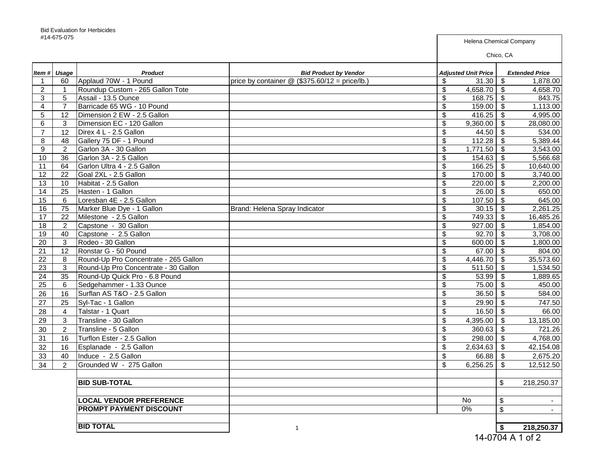| #14-073-073    |                |                                       |                                                  |                                      | <b>Helena Chemical Company</b>       |        |  |
|----------------|----------------|---------------------------------------|--------------------------------------------------|--------------------------------------|--------------------------------------|--------|--|
|                |                |                                       |                                                  |                                      | Chico, CA                            |        |  |
|                | Item # Usage   | <b>Product</b>                        | <b>Bid Product by Vendor</b>                     | <b>Adjusted Unit Price</b>           | <b>Extended Price</b>                |        |  |
| -1             | 60             | Applaud 70W - 1 Pound                 | price by container $@$ (\$375.60/12 = price/lb.) | 31.30<br>\$                          | \$<br>1,878.00                       |        |  |
| $\overline{2}$ | $\overline{1}$ | Roundup Custom - 265 Gallon Tote      |                                                  | \$<br>4,658.70 \$                    | 4,658.70                             |        |  |
| 3              | 5              | Assail - 13.5 Ounce                   |                                                  | \$<br>$168.75$ \$                    | 843.75                               |        |  |
| 4              | $\overline{7}$ | Barricade 65 WG - 10 Pound            |                                                  | \$<br>$159.00$ \$                    | 1,113.00                             |        |  |
| 5              | 12             | Dimension 2 EW - 2.5 Gallon           |                                                  | \$<br>416.25   \$                    | 4,995.00                             |        |  |
| 6              | 3              | Dimension EC - 120 Gallon             |                                                  | $\overline{\mathcal{S}}$<br>9,360.00 | $\overline{\mathbf{s}}$<br>28,080.00 |        |  |
| $\overline{7}$ | 12             | Direx 4 L - 2.5 Gallon                |                                                  | \$<br>44.50                          | $\sqrt[6]{3}$<br>534.00              |        |  |
| 8              | 48             | Gallery 75 DF - 1 Pound               |                                                  | \$<br>112.28                         | $\sqrt[6]{3}$<br>5,389.44            |        |  |
| 9              | $\overline{2}$ | Garlon 3A - 30 Gallon                 |                                                  | \$<br>1,771.50                       | 3,543.00<br>- \$                     |        |  |
| 10             | 36             | Garlon 3A - 2.5 Gallon                |                                                  | \$<br>154.63                         | 5,566.68<br>-\$                      |        |  |
| 11             | 64             | Garlon Ultra 4 - 2.5 Gallon           |                                                  | \$<br>166.25                         | \$<br>10,640.00                      |        |  |
| 12             | 22             | Goal 2XL - 2.5 Gallon                 |                                                  | \$<br>$170.00$ \ \$                  | 3,740.00                             |        |  |
| 13             | 10             | Habitat - 2.5 Gallon                  |                                                  | \$<br>220.00                         | 2,200.00<br>- \$                     |        |  |
| 14             | 25             | Hasten - 1 Gallon                     |                                                  | \$<br>26.00                          | 650.00<br>- \$                       |        |  |
| 15             | 6              | Loresban 4E - 2.5 Gallon              |                                                  | \$<br>107.50                         | - \$<br>645.00                       |        |  |
| 16             | 75             | Marker Blue Dye - 1 Gallon            | Brand: Helena Spray Indicator                    | \$<br>30.15                          | 2,261.25<br>- \$                     |        |  |
| 17             | 22             | Milestone - 2.5 Gallon                |                                                  | \$<br>$749.33$ \$                    | 16,485.26                            |        |  |
| 18             | $\overline{2}$ | Capstone - 30 Gallon                  |                                                  | \$<br>$927.00$ \$                    | 1,854.00                             |        |  |
| 19             | 40             | Capstone - 2.5 Gallon                 |                                                  | \$<br>$92.70$ \$                     | 3,708.00                             |        |  |
| 20             | $\sqrt{3}$     | Rodeo - 30 Gallon                     |                                                  | \$<br>$600.00$ \$                    | 1,800.00                             |        |  |
| 21             | 12             | Ronstar G - 50 Pound                  |                                                  | \$<br>67.00 $\frac{1}{9}$            | 804.00                               |        |  |
| 22             | 8              | Round-Up Pro Concentrate - 265 Gallon |                                                  | \$<br>$4,446.70$ \$                  | 35,573.60                            |        |  |
| 23             | 3              | Round-Up Pro Concentrate - 30 Gallon  |                                                  | \$<br>$511.50$ \ \$                  | 1,534.50                             |        |  |
| 24             | 35             | Round-Up Quick Pro - 6.8 Pound        |                                                  | \$<br>53.99                          | 1,889.65<br>\$                       |        |  |
| 25             | 6              | Sedgehammer - 1.33 Ounce              |                                                  | \$<br>75.00                          | \$<br>450.00                         |        |  |
| 26             | 16             | Surflan AS T&O - 2.5 Gallon           |                                                  | 36.50<br>\$                          | \$<br>584.00                         |        |  |
| 27             | 25             | Syl-Tac - 1 Gallon                    |                                                  | 29.90<br>\$                          | \$<br>747.50                         |        |  |
| 28             | 4              | Talstar - 1 Quart                     |                                                  | \$<br>16.50                          | \$                                   | 66.00  |  |
| 29             | 3              | Transline - 30 Gallon                 |                                                  | \$<br>4,395.00                       | \$<br>13,185.00                      |        |  |
| 30             | $\overline{2}$ | Transline - 5 Gallon                  |                                                  | \$<br>360.63                         | \$<br>721.26                         |        |  |
| 31             | 16             | Turflon Ester - 2.5 Gallon            |                                                  | \$<br>298.00                         | $\sqrt[6]{3}$<br>4,768.00            |        |  |
| 32             | 16             | Esplanade - 2.5 Gallon                |                                                  | \$<br>2,634.63                       | \$<br>42,154.08                      |        |  |
| 33             | 40             | Induce - 2.5 Gallon                   |                                                  | \$<br>66.88                          | 2,675.20<br>\$                       |        |  |
| 34             | 2              | Grounded W - 275 Gallon               |                                                  | \$<br>6,256.25                       | \$<br>12,512.50                      |        |  |
|                |                |                                       |                                                  |                                      |                                      |        |  |
|                |                | <b>BID SUB-TOTAL</b>                  |                                                  |                                      | \$<br>218,250.37                     |        |  |
|                |                |                                       |                                                  |                                      |                                      |        |  |
|                |                | <b>LOCAL VENDOR PREFERENCE</b>        |                                                  | No                                   | \$                                   | $\sim$ |  |
|                |                | PROMPT PAYMENT DISCOUNT               |                                                  | $0\%$                                | \$                                   | $\sim$ |  |
|                |                |                                       |                                                  |                                      |                                      |        |  |
|                |                | <b>BID TOTAL</b>                      | $\mathbf{1}$                                     |                                      | \$<br>218,250.37                     |        |  |

<sup>14-0704</sup> A 1 of 2

**F**